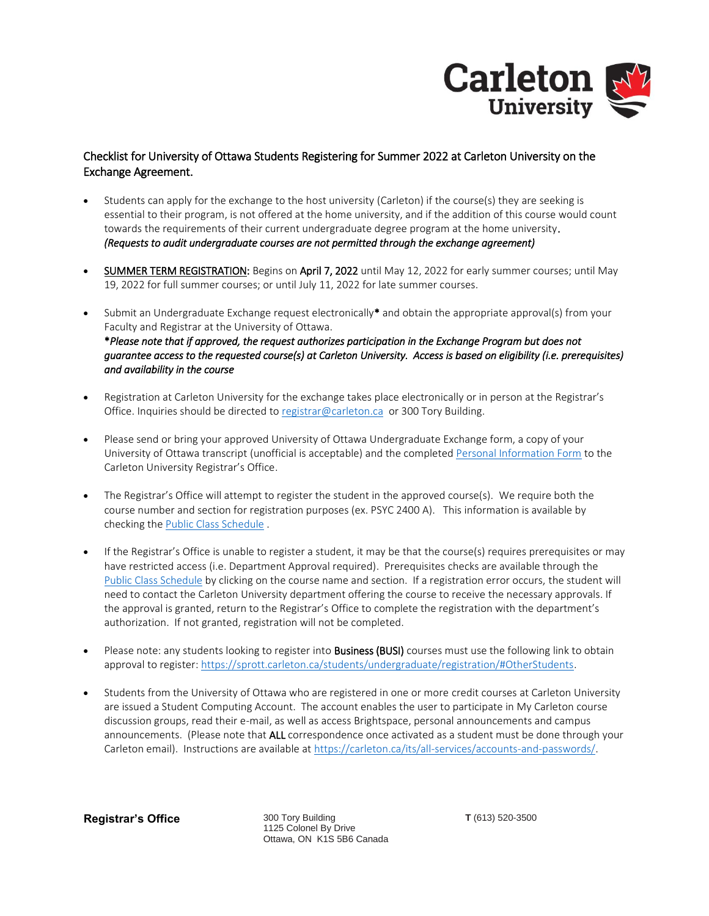

## Checklist for University of Ottawa Students Registering for Summer 2022 at Carleton University on the Exchange Agreement.

- Students can apply for the exchange to the host university (Carleton) if the course(s) they are seeking is essential to their program, is not offered at the home university, and if the addition of this course would count towards the requirements of their current undergraduate degree program at the home university. *(Requests to audit undergraduate courses are not permitted through the exchange agreement)*
- SUMMER TERM REGISTRATION: Begins on April 7, 2022 until May 12, 2022 for early summer courses; until May 19, 2022 for full summer courses; or until July 11, 2022 for late summer courses.
- Submit an Undergraduate Exchange request electronically\* and obtain the appropriate approval(s) from your Faculty and Registrar at the University of Ottawa. \**Please note that if approved, the request authorizes participation in the Exchange Program but does not guarantee access to the requested course(s) at Carleton University. Access is based on eligibility (i.e. prerequisites) and availability in the course*
- Registration at Carleton University for the exchange takes place electronically or in person at the Registrar's Office. Inquiries should be directed t[o registrar@carleton.ca](mailto:registrar@carleton.ca) or 300 Tory Building.
- Please send or bring your approved University of Ottawa Undergraduate Exchange form, a copy of your University of Ottawa transcript (unofficial is acceptable) and the completed [Personal Information Form](https://carleton.ca/registrar/registration/wp-content/uploads/uOttawa-Personal-Information-Form.pdf) to the Carleton University Registrar's Office.
- The Registrar's Office will attempt to register the student in the approved course(s). We require both the course number and section for registration purposes (ex. PSYC 2400 A). This information is available by checking the [Public Class Schedule](http://central.carleton.ca/prod/bwysched.p_select_term?wsea_code=EXT) .
- If the Registrar's Office is unable to register a student, it may be that the course(s) requires prerequisites or may have restricted access (i.e. Department Approval required). Prerequisites checks are available through the [Public Class Schedule](http://central.carleton.ca/prod/bwysched.p_select_term?wsea_code=EXT) by clicking on the course name and section. If a registration error occurs, the student will need to contact the Carleton University department offering the course to receive the necessary approvals. If the approval is granted, return to the Registrar's Office to complete the registration with the department's authorization. If not granted, registration will not be completed.
- Please note: any students looking to register into **Business (BUSI)** courses must use the following link to obtain approval to register: [https://sprott.carleton.ca/students/undergraduate/registration/#OtherStudents.](https://sprott.carleton.ca/students/undergraduate/registration/#OtherStudents)
- Students from the University of Ottawa who are registered in one or more credit courses at Carleton University are issued a Student Computing Account. The account enables the user to participate in My Carleton course discussion groups, read their e-mail, as well as access Brightspace, personal announcements and campus announcements. (Please note that ALL correspondence once activated as a student must be done through your Carleton email). Instructions are available at [https://carleton.ca/its/all-services/accounts-and-passwords/.](https://carleton.ca/its/all-services/accounts-and-passwords/)

**Registrar's Office** 300 Tory Building

1125 Colonel By Drive Ottawa, ON K1S 5B6 Canada **T** (613) 520-3500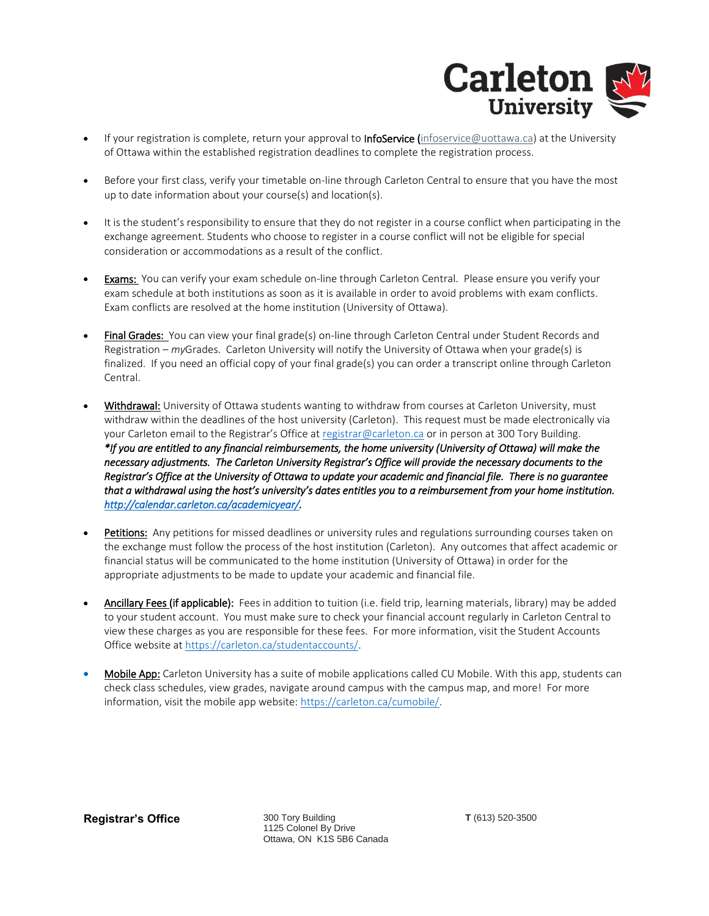

- If your registration is complete, return your approval to InfoService [\(infoservice@uottawa.ca\)](mailto:infoservice@uottawa.ca) at the University of Ottawa within the established registration deadlines to complete the registration process.
- Before your first class, verify your timetable on-line through Carleton Central to ensure that you have the most up to date information about your course(s) and location(s).
- It is the student's responsibility to ensure that they do not register in a course conflict when participating in the exchange agreement. Students who choose to register in a course conflict will not be eligible for special consideration or accommodations as a result of the conflict.
- **Exams:** You can verify your exam schedule on-line through Carleton Central. Please ensure you verify your exam schedule at both institutions as soon as it is available in order to avoid problems with exam conflicts. Exam conflicts are resolved at the home institution (University of Ottawa).
- Final Grades: You can view your final grade(s) on-line through Carleton Central under Student Records and Registration – *my*Grades. Carleton University will notify the University of Ottawa when your grade(s) is finalized. If you need an official copy of your final grade(s) you can order a transcript online through Carleton Central.
- Withdrawal: University of Ottawa students wanting to withdraw from courses at Carleton University, must withdraw within the deadlines of the host university (Carleton). This request must be made electronically via your Carleton email to the Registrar's Office at [registrar@carleton.ca](mailto:registrar@carleton.ca) or in person at 300 Tory Building. *\*If you are entitled to any financial reimbursements, the home university (University of Ottawa) will make the necessary adjustments. The Carleton University Registrar's Office will provide the necessary documents to the Registrar's Office at the University of Ottawa to update your academic and financial file. There is no guarantee that a withdrawal using the host's university's dates entitles you to a reimbursement from your home institution. [http://calendar.carleton.ca/academicyear/.](http://calendar.carleton.ca/academicyear/)*
- Petitions: Any petitions for missed deadlines or university rules and regulations surrounding courses taken on the exchange must follow the process of the host institution (Carleton). Any outcomes that affect academic or financial status will be communicated to the home institution (University of Ottawa) in order for the appropriate adjustments to be made to update your academic and financial file.
- Ancillary Fees (if applicable): Fees in addition to tuition (i.e. field trip, learning materials, library) may be added to your student account. You must make sure to check your financial account regularly in Carleton Central to view these charges as you are responsible for these fees. For more information, visit the Student Accounts Office website at [https://carleton.ca/studentaccounts/.](https://carleton.ca/studentaccounts/)
- Mobile App: Carleton University has a suite of mobile applications called CU Mobile. With this app, students can check class schedules, view grades, navigate around campus with the campus map, and more! For more information, visit the mobile app website: [https://carleton.ca/cumobile/.](https://carleton.ca/cumobile/)

**Registrar's Office** 300 Tory Building

1125 Colonel By Drive Ottawa, ON K1S 5B6 Canada **T** (613) 520-3500